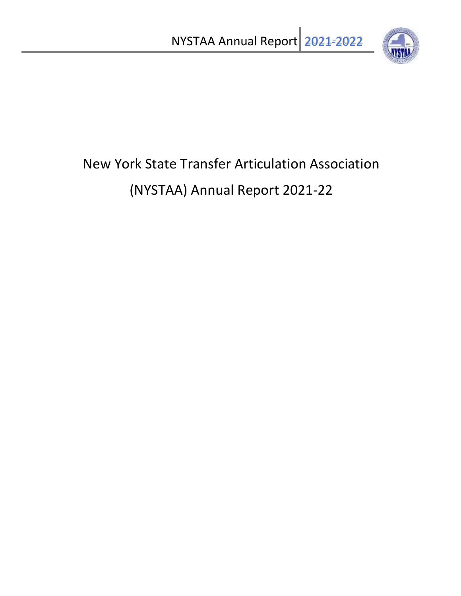

# New York State Transfer Articulation Association (NYSTAA) Annual Report 2021-22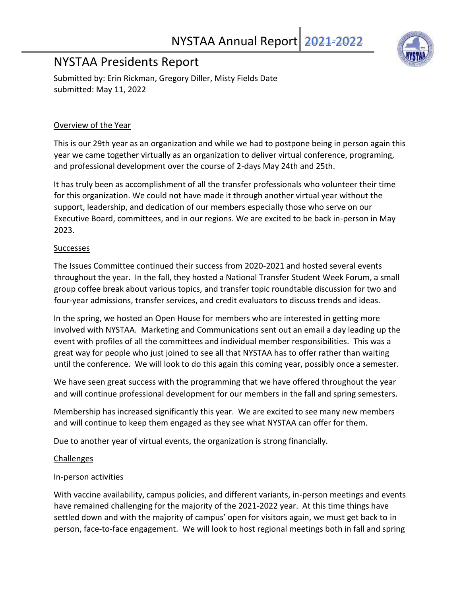### NYSTAA Presidents Report

Submitted by: Erin Rickman, Gregory Diller, Misty Fields Date submitted: May 11, 2022

#### Overview of the Year

This is our 29th year as an organization and while we had to postpone being in person again this year we came together virtually as an organization to deliver virtual conference, programing, and professional development over the course of 2-days May 24th and 25th.

It has truly been as accomplishment of all the transfer professionals who volunteer their time for this organization. We could not have made it through another virtual year without the support, leadership, and dedication of our members especially those who serve on our Executive Board, committees, and in our regions. We are excited to be back in-person in May 2023.

#### Successes

The Issues Committee continued their success from 2020-2021 and hosted several events throughout the year. In the fall, they hosted a National Transfer Student Week Forum, a small group coffee break about various topics, and transfer topic roundtable discussion for two and four-year admissions, transfer services, and credit evaluators to discuss trends and ideas.

In the spring, we hosted an Open House for members who are interested in getting more involved with NYSTAA. Marketing and Communications sent out an email a day leading up the event with profiles of all the committees and individual member responsibilities. This was a great way for people who just joined to see all that NYSTAA has to offer rather than waiting until the conference. We will look to do this again this coming year, possibly once a semester.

We have seen great success with the programming that we have offered throughout the year and will continue professional development for our members in the fall and spring semesters.

Membership has increased significantly this year. We are excited to see many new members and will continue to keep them engaged as they see what NYSTAA can offer for them.

Due to another year of virtual events, the organization is strong financially.

#### Challenges

#### In-person activities

With vaccine availability, campus policies, and different variants, in-person meetings and events have remained challenging for the majority of the 2021-2022 year. At this time things have settled down and with the majority of campus' open for visitors again, we must get back to in person, face-to-face engagement. We will look to host regional meetings both in fall and spring

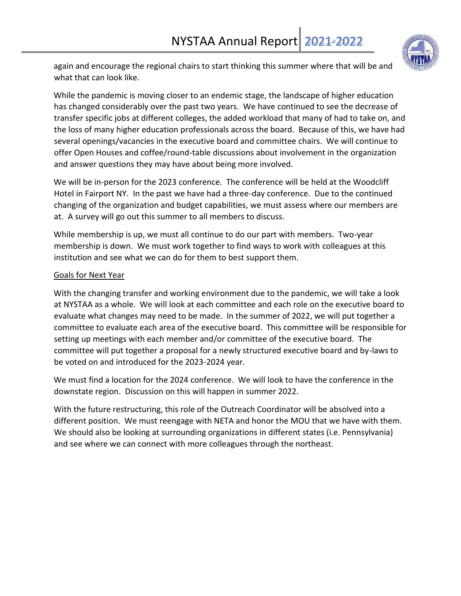

again and encourage the regional chairs to start thinking this summer where that will be and what that can look like.

While the pandemic is moving closer to an endemic stage, the landscape of higher education has changed considerably over the past two years. We have continued to see the decrease of transfer specific jobs at different colleges, the added workload that many of had to take on, and the loss of many higher education professionals across the board. Because of this, we have had several openings/vacancies in the executive board and committee chairs. We will continue to offer Open Houses and coffee/round-table discussions about involvement in the organization and answer questions they may have about being more involved.

We will be in-person for the 2023 conference. The conference will be held at the Woodcliff Hotel in Fairport NY. In the past we have had a three-day conference. Due to the continued changing of the organization and budget capabilities, we must assess where our members are at. A survey will go out this summer to all members to discuss.

While membership is up, we must all continue to do our part with members. Two-year membership is down. We must work together to find ways to work with colleagues at this institution and see what we can do for them to best support them.

#### Goals for Next Year

With the changing transfer and working environment due to the pandemic, we will take a look at NYSTAA as a whole. We will look at each committee and each role on the executive board to evaluate what changes may need to be made. In the summer of 2022, we will put together a committee to evaluate each area of the executive board. This committee will be responsible for setting up meetings with each member and/or committee of the executive board. The committee will put together a proposal for a newly structured executive board and by-laws to be voted on and introduced for the 2023-2024 year.

We must find a location for the 2024 conference. We will look to have the conference in the downstate region. Discussion on this will happen in summer 2022.

With the future restructuring, this role of the Outreach Coordinator will be absolved into a different position. We must reengage with NETA and honor the MOU that we have with them. We should also be looking at surrounding organizations in different states (i.e. Pennsylvania) and see where we can connect with more colleagues through the northeast.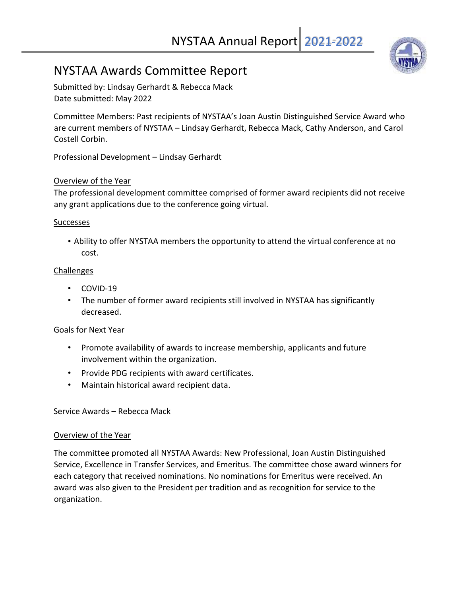## NYSTAA Annual Report 2021-2022

### NYSTAA Awards Committee Report

Submitted by: Lindsay Gerhardt & Rebecca Mack Date submitted: May 2022

Committee Members: Past recipients of NYSTAA's Joan Austin Distinguished Service Award who are current members of NYSTAA – Lindsay Gerhardt, Rebecca Mack, Cathy Anderson, and Carol Costell Corbin.

Professional Development – Lindsay Gerhardt

#### Overview of the Year

The professional development committee comprised of former award recipients did not receive any grant applications due to the conference going virtual.

#### **Successes**

• Ability to offer NYSTAA members the opportunity to attend the virtual conference at no cost.

#### Challenges

- COVID-19
- The number of former award recipients still involved in NYSTAA has significantly decreased.

#### Goals for Next Year

- Promote availability of awards to increase membership, applicants and future involvement within the organization.
- Provide PDG recipients with award certificates.
- Maintain historical award recipient data.

#### Service Awards – Rebecca Mack

#### Overview of the Year

The committee promoted all NYSTAA Awards: New Professional, Joan Austin Distinguished Service, Excellence in Transfer Services, and Emeritus. The committee chose award winners for each category that received nominations. No nominations for Emeritus were received. An award was also given to the President per tradition and as recognition for service to the organization.

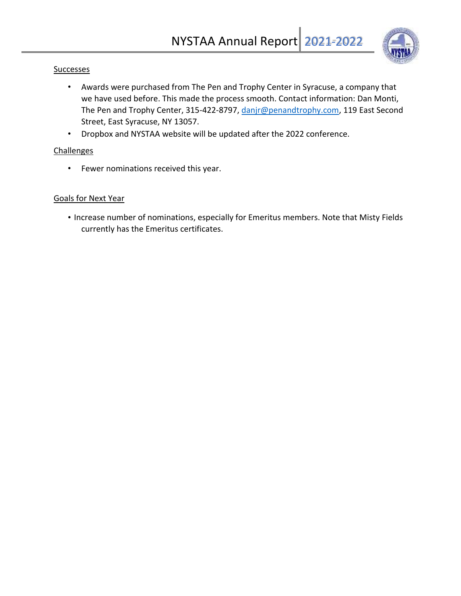

#### **Successes**

- Awards were purchased from The Pen and Trophy Center in Syracuse, a company that we have used before. This made the process smooth. Contact information: Dan Monti, The Pen and Trophy Center, 315-422-8797, danjr@penandtrophy.com, 119 East Second Street, East Syracuse, NY 13057.
- Dropbox and NYSTAA website will be updated after the 2022 conference.

#### **Challenges**

• Fewer nominations received this year.

#### Goals for Next Year

• Increase number of nominations, especially for Emeritus members. Note that Misty Fields currently has the Emeritus certificates.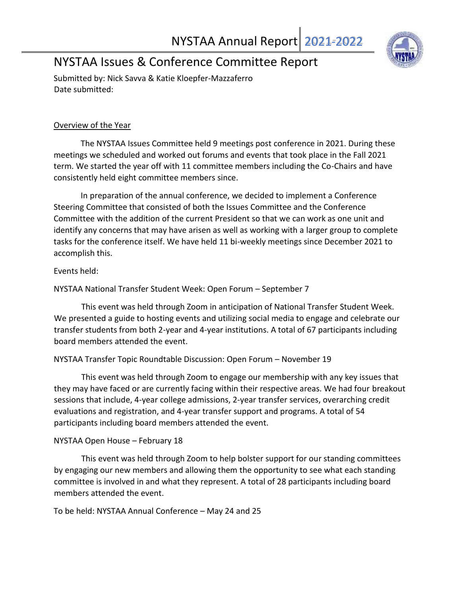

### NYSTAA Issues & Conference Committee Report

Submitted by: Nick Savva & Katie Kloepfer-Mazzaferro Date submitted:

#### Overview of the Year

The NYSTAA Issues Committee held 9 meetings post conference in 2021. During these meetings we scheduled and worked out forums and events that took place in the Fall 2021 term. We started the year off with 11 committee members including the Co-Chairs and have consistently held eight committee members since.

In preparation of the annual conference, we decided to implement a Conference Steering Committee that consisted of both the Issues Committee and the Conference Committee with the addition of the current President so that we can work as one unit and identify any concerns that may have arisen as well as working with a larger group to complete tasks for the conference itself. We have held 11 bi-weekly meetings since December 2021 to accomplish this.

#### Events held:

NYSTAA National Transfer Student Week: Open Forum – September 7

This event was held through Zoom in anticipation of National Transfer Student Week. We presented a guide to hosting events and utilizing social media to engage and celebrate our transfer students from both 2-year and 4-year institutions. A total of 67 participants including board members attended the event.

#### NYSTAA Transfer Topic Roundtable Discussion: Open Forum – November 19

This event was held through Zoom to engage our membership with any key issues that they may have faced or are currently facing within their respective areas. We had four breakout sessions that include, 4-year college admissions, 2-year transfer services, overarching credit evaluations and registration, and 4-year transfer support and programs. A total of 54 participants including board members attended the event.

#### NYSTAA Open House – February 18

This event was held through Zoom to help bolster support for our standing committees by engaging our new members and allowing them the opportunity to see what each standing committee is involved in and what they represent. A total of 28 participants including board members attended the event.

To be held: NYSTAA Annual Conference – May 24 and 25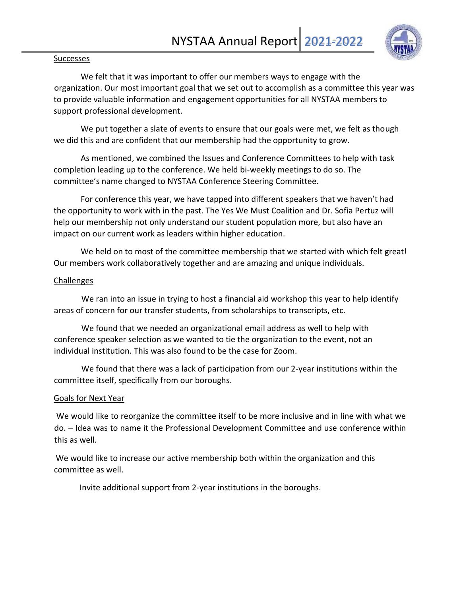

#### **Successes**

We felt that it was important to offer our members ways to engage with the organization. Our most important goal that we set out to accomplish as a committee this year was to provide valuable information and engagement opportunities for all NYSTAA members to support professional development.

We put together a slate of events to ensure that our goals were met, we felt as though we did this and are confident that our membership had the opportunity to grow.

As mentioned, we combined the Issues and Conference Committees to help with task completion leading up to the conference. We held bi-weekly meetings to do so. The committee's name changed to NYSTAA Conference Steering Committee.

For conference this year, we have tapped into different speakers that we haven't had the opportunity to work with in the past. The Yes We Must Coalition and Dr. Sofia Pertuz will help our membership not only understand our student population more, but also have an impact on our current work as leaders within higher education.

We held on to most of the committee membership that we started with which felt great! Our members work collaboratively together and are amazing and unique individuals.

#### Challenges

We ran into an issue in trying to host a financial aid workshop this year to help identify areas of concern for our transfer students, from scholarships to transcripts, etc.

We found that we needed an organizational email address as well to help with conference speaker selection as we wanted to tie the organization to the event, not an individual institution. This was also found to be the case for Zoom.

We found that there was a lack of participation from our 2-year institutions within the committee itself, specifically from our boroughs.

#### Goals for Next Year

We would like to reorganize the committee itself to be more inclusive and in line with what we do. – Idea was to name it the Professional Development Committee and use conference within this as well.

We would like to increase our active membership both within the organization and this committee as well.

Invite additional support from 2-year institutions in the boroughs.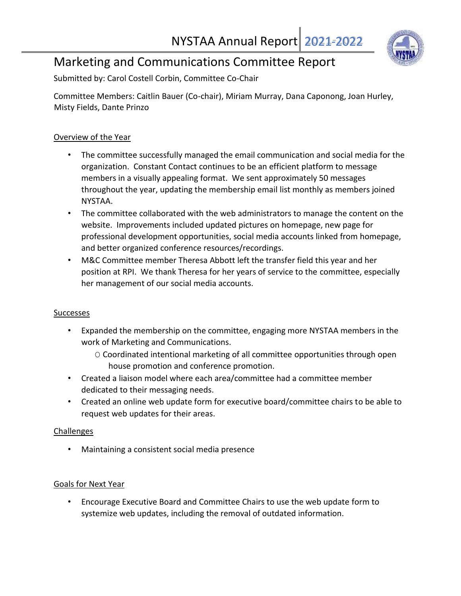

### Marketing and Communications Committee Report

Submitted by: Carol Costell Corbin, Committee Co-Chair

Committee Members: Caitlin Bauer (Co-chair), Miriam Murray, Dana Caponong, Joan Hurley, Misty Fields, Dante Prinzo

#### Overview of the Year

- The committee successfully managed the email communication and social media for the organization. Constant Contact continues to be an efficient platform to message members in a visually appealing format. We sent approximately 50 messages throughout the year, updating the membership email list monthly as members joined NYSTAA.
- The committee collaborated with the web administrators to manage the content on the website. Improvements included updated pictures on homepage, new page for professional development opportunities, social media accounts linked from homepage, and better organized conference resources/recordings.
- M&C Committee member Theresa Abbott left the transfer field this year and her position at RPI. We thank Theresa for her years of service to the committee, especially her management of our social media accounts.

#### Successes

- Expanded the membership on the committee, engaging more NYSTAA members in the work of Marketing and Communications.
	- O Coordinated intentional marketing of all committee opportunities through open house promotion and conference promotion.
- Created a liaison model where each area/committee had a committee member dedicated to their messaging needs.
- Created an online web update form for executive board/committee chairs to be able to request web updates for their areas.

### Challenges

• Maintaining a consistent social media presence

#### Goals for Next Year

• Encourage Executive Board and Committee Chairs to use the web update form to systemize web updates, including the removal of outdated information.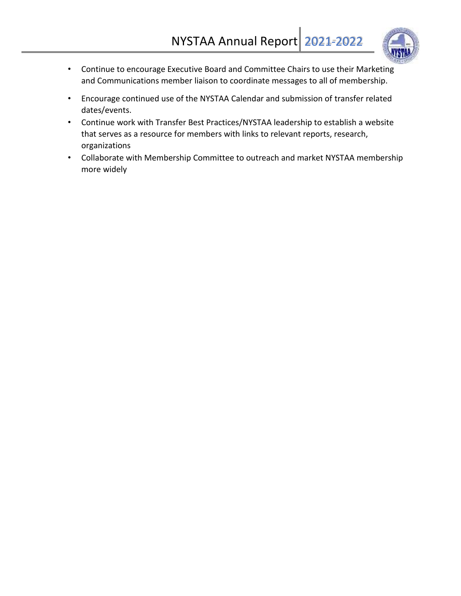

- Continue to encourage Executive Board and Committee Chairs to use their Marketing and Communications member liaison to coordinate messages to all of membership.
- Encourage continued use of the NYSTAA Calendar and submission of transfer related dates/events.
- Continue work with Transfer Best Practices/NYSTAA leadership to establish a website that serves as a resource for members with links to relevant reports, research, organizations
- Collaborate with Membership Committee to outreach and market NYSTAA membership more widely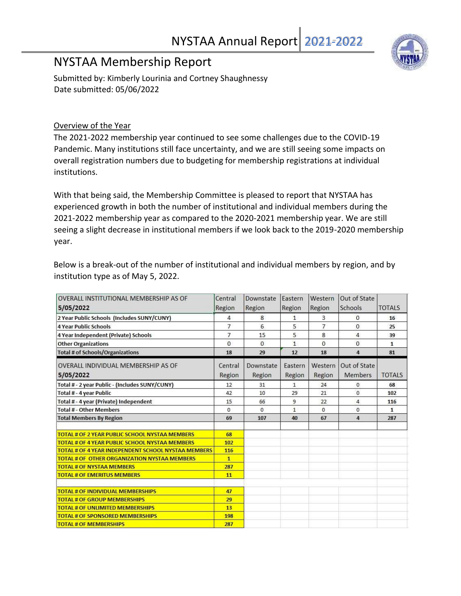### NYSTAA Membership Report

Submitted by: Kimberly Lourinia and Cortney Shaughnessy Date submitted: 05/06/2022

#### Overview of the Year

The 2021-2022 membership year continued to see some challenges due to the COVID-19 Pandemic. Many institutions still face uncertainty, and we are still seeing some impacts on overall registration numbers due to budgeting for membership registrations at individual institutions.

With that being said, the Membership Committee is pleased to report that NYSTAA has experienced growth in both the number of institutional and individual members during the 2021-2022 membership year as compared to the 2020-2021 membership year. We are still seeing a slight decrease in institutional members if we look back to the 2019-2020 membership year.

Below is a break-out of the number of institutional and individual members by region, and by institution type as of May 5, 2022.

| OVERALL INSTITUTIONAL MEMBERSHIP AS OF                     | Central        | Downstate | Eastern        | Western        | Out of State   |               |
|------------------------------------------------------------|----------------|-----------|----------------|----------------|----------------|---------------|
| 5/05/2022                                                  | Region         | Region    | Region         | Region         | Schools        | <b>TOTALS</b> |
| 2 Year Public Schools (Includes SUNY/CUNY)                 | 4              | 8         | $\mathbf{1}$   | 3              | $\mathbf{0}$   | 16            |
| <b>4 Year Public Schools</b>                               | $\overline{7}$ | 6.        | 5              | $\overline{7}$ | $\Omega$       | 25            |
| 4 Year Independent (Private) Schools                       | 7              | 15        | 5              | 8              | 4              | 39            |
| <b>Other Organizations</b>                                 | $\Omega$       | $\Omega$  | $\overline{1}$ | $\Omega$       | $\Omega$       | $\mathbf{1}$  |
| <b>Total # of Schools/Organizations</b>                    | 18             | 29        | 12             | 18             | 4              | 81            |
| <b>OVERALL INDIVIDUAL MEMBERSHIP AS OF</b>                 | Central        | Downstate | Eastern        | Western        | Out of State   |               |
| 5/05/2022                                                  | Region         | Region    | Region         | Region         | <b>Members</b> | <b>TOTALS</b> |
| Total # - 2 year Public - (Includes SUNY/CUNY)             | 12             | 31        | 1.             | 24             | $\mathbf{0}$   | 68            |
| Total # - 4 year Public                                    | 42             | 10        | 29             | 21             | $\mathbf{0}$   | 102           |
| Total # - 4 year (Private) Independent                     | 15             | 66        | 9              | 22             | $\overline{a}$ | 116           |
| <b>Total # - Other Members</b>                             | $\Omega$       | $\Omega$  | $\mathbf{1}$   | $\Omega$       | $\Omega$       | 1             |
| <b>Total Members By Region</b>                             | 69             | 107       | 40             | 67             | 4              | 287           |
| <b>TOTAL # OF 2 YEAR PUBLIC SCHOOL NYSTAA MEMBERS</b>      | 68             |           |                |                |                |               |
| <b>TOTAL # OF 4 YEAR PUBLIC SCHOOL NYSTAA MEMBERS</b>      | 102            |           |                |                |                |               |
| <b>TOTAL # OF 4 YEAR INDEPENDENT SCHOOL NYSTAA MEMBERS</b> | 116            |           |                |                |                |               |
| <b>TOTAL # OF OTHER ORGANIZATION NYSTAA MEMBERS</b>        | $\mathbf{1}$   |           |                |                |                |               |
| <b>TOTAL # OF NYSTAA MEMBERS</b>                           | 287            |           |                |                |                |               |
| <b>TOTAL # OF EMERITUS MEMBERS</b>                         | 11             |           |                |                |                |               |
|                                                            |                |           |                |                |                |               |
| <b>TOTAL # OF INDIVIDUAL MEMBERSHIPS</b>                   | 47             |           |                |                |                |               |
| <b>TOTAL # OF GROUP MEMBERSHIPS</b>                        | 29             |           |                |                |                |               |
| <b>TOTAL # OF UNLIMITED MEMBERSHIPS</b>                    | 13             |           |                |                |                |               |
| <b>TOTAL # OF SPONSORED MEMBERSHIPS</b>                    | 198            |           |                |                |                |               |
| <b>TOTAL # OF MEMBERSHIPS</b>                              | 287            |           |                |                |                |               |

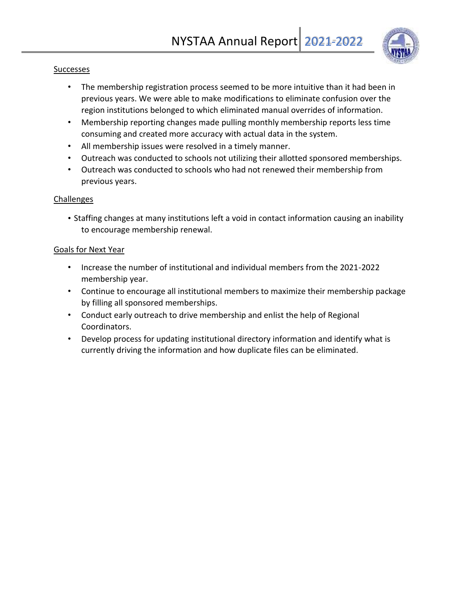

#### **Successes**

- The membership registration process seemed to be more intuitive than it had been in previous years. We were able to make modifications to eliminate confusion over the region institutions belonged to which eliminated manual overrides of information.
- Membership reporting changes made pulling monthly membership reports less time consuming and created more accuracy with actual data in the system.
- All membership issues were resolved in a timely manner.
- Outreach was conducted to schools not utilizing their allotted sponsored memberships.
- Outreach was conducted to schools who had not renewed their membership from previous years.

#### Challenges

• Staffing changes at many institutions left a void in contact information causing an inability to encourage membership renewal.

#### Goals for Next Year

- Increase the number of institutional and individual members from the 2021-2022 membership year.
- Continue to encourage all institutional members to maximize their membership package by filling all sponsored memberships.
- Conduct early outreach to drive membership and enlist the help of Regional Coordinators.
- Develop process for updating institutional directory information and identify what is currently driving the information and how duplicate files can be eliminated.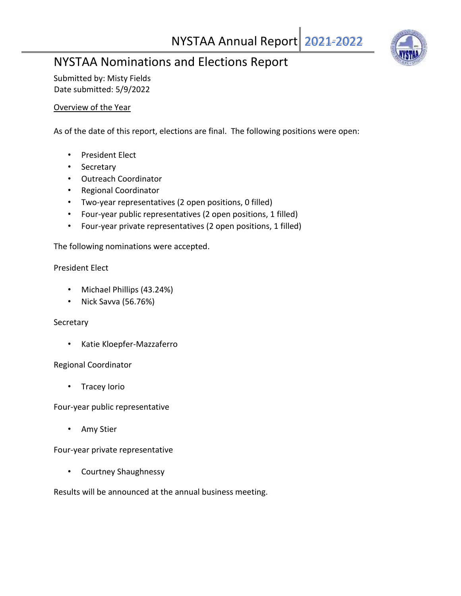### NYSTAA Annual Report 2021-2022



### NYSTAA Nominations and Elections Report

Submitted by: Misty Fields Date submitted: 5/9/2022

#### Overview of the Year

As of the date of this report, elections are final. The following positions were open:

- President Elect
- Secretary
- Outreach Coordinator
- Regional Coordinator
- Two-year representatives (2 open positions, 0 filled)
- Four-year public representatives (2 open positions, 1 filled)
- Four-year private representatives (2 open positions, 1 filled)

The following nominations were accepted.

#### President Elect

- Michael Phillips (43.24%)
- Nick Savva (56.76%)

#### **Secretary**

• Katie Kloepfer-Mazzaferro

#### Regional Coordinator

• Tracey Iorio

Four-year public representative

• Amy Stier

Four-year private representative

• Courtney Shaughnessy

Results will be announced at the annual business meeting.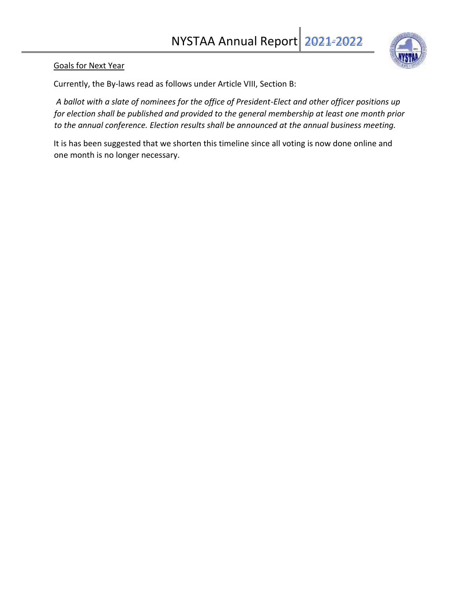

#### Goals for Next Year

Currently, the By-laws read as follows under Article VIII, Section B:

*A ballot with a slate of nominees for the office of President-Elect and other officer positions up for election shall be published and provided to the general membership at least one month prior to the annual conference. Election results shall be announced at the annual business meeting.* 

It is has been suggested that we shorten this timeline since all voting is now done online and one month is no longer necessary.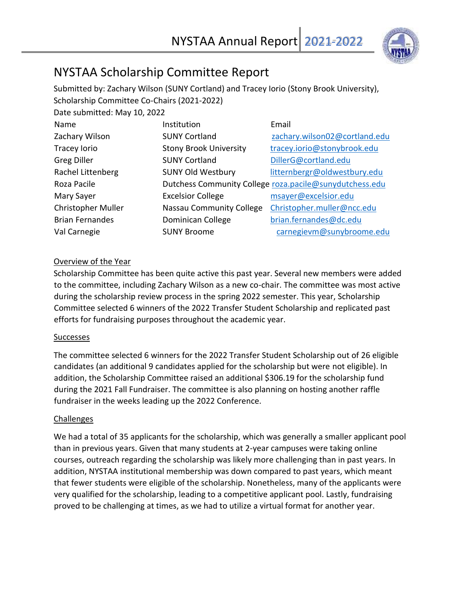

### NYSTAA Scholarship Committee Report

Submitted by: Zachary Wilson (SUNY Cortland) and Tracey Iorio (Stony Brook University), Scholarship Committee Co-Chairs (2021-2022)

| Date submitted: May 10, 2022 |                                                         |                               |  |
|------------------------------|---------------------------------------------------------|-------------------------------|--|
| Name                         | Institution                                             | Email                         |  |
| Zachary Wilson               | <b>SUNY Cortland</b>                                    | zachary.wilson02@cortland.edu |  |
| Tracey lorio                 | <b>Stony Brook University</b>                           | tracey.iorio@stonybrook.edu   |  |
| <b>Greg Diller</b>           | <b>SUNY Cortland</b>                                    | DillerG@cortland.edu          |  |
| Rachel Littenberg            | <b>SUNY Old Westbury</b>                                | litternbergr@oldwestbury.edu  |  |
| Roza Pacile                  | Dutchess Community College roza.pacile@sunydutchess.edu |                               |  |
| Mary Sayer                   | <b>Excelsior College</b>                                | msayer@excelsior.edu          |  |
| <b>Christopher Muller</b>    | Nassau Community College                                | Christopher.muller@ncc.edu    |  |
| <b>Brian Fernandes</b>       | Dominican College                                       | brian.fernandes@dc.edu        |  |
| Val Carnegie                 | <b>SUNY Broome</b>                                      | carnegievm@sunybroome.edu     |  |

#### Overview of the Year

Scholarship Committee has been quite active this past year. Several new members were added to the committee, including Zachary Wilson as a new co-chair. The committee was most active during the scholarship review process in the spring 2022 semester. This year, Scholarship Committee selected 6 winners of the 2022 Transfer Student Scholarship and replicated past efforts for fundraising purposes throughout the academic year.

#### Successes

The committee selected 6 winners for the 2022 Transfer Student Scholarship out of 26 eligible candidates (an additional 9 candidates applied for the scholarship but were not eligible). In addition, the Scholarship Committee raised an additional \$306.19 for the scholarship fund during the 2021 Fall Fundraiser. The committee is also planning on hosting another raffle fundraiser in the weeks leading up the 2022 Conference.

#### Challenges

We had a total of 35 applicants for the scholarship, which was generally a smaller applicant pool than in previous years. Given that many students at 2-year campuses were taking online courses, outreach regarding the scholarship was likely more challenging than in past years. In addition, NYSTAA institutional membership was down compared to past years, which meant that fewer students were eligible of the scholarship. Nonetheless, many of the applicants were very qualified for the scholarship, leading to a competitive applicant pool. Lastly, fundraising proved to be challenging at times, as we had to utilize a virtual format for another year.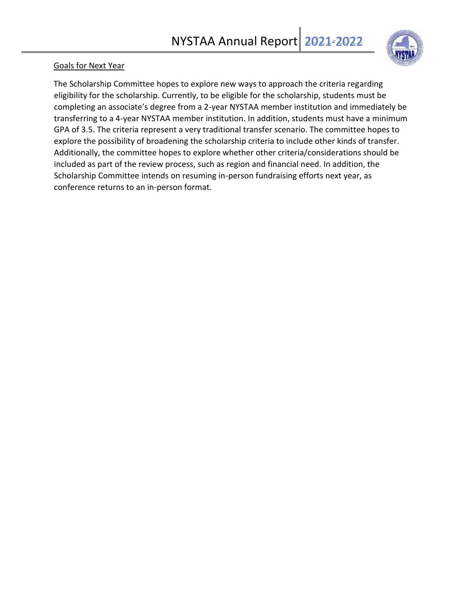

#### Goals for Next Year

The Scholarship Committee hopes to explore new ways to approach the criteria regarding eligibility for the scholarship. Currently, to be eligible for the scholarship, students must be completing an associate's degree from a 2-year NYSTAA member institution and immediately be transferring to a 4-year NYSTAA member institution. In addition, students must have a minimum GPA of 3.5. The criteria represent a very traditional transfer scenario. The committee hopes to explore the possibility of broadening the scholarship criteria to include other kinds of transfer. Additionally, the committee hopes to explore whether other criteria/considerations should be included as part of the review process, such as region and financial need. In addition, the Scholarship Committee intends on resuming in-person fundraising efforts next year, as conference returns to an in-person format.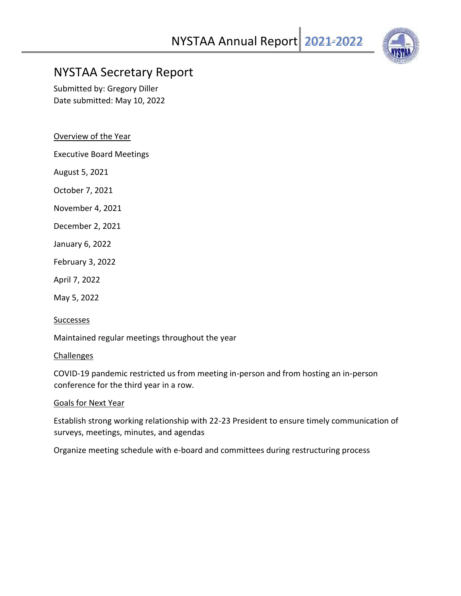

### NYSTAA Secretary Report

Submitted by: Gregory Diller Date submitted: May 10, 2022

Overview of the Year

Executive Board Meetings

August 5, 2021

October 7, 2021

November 4, 2021

December 2, 2021

January 6, 2022

February 3, 2022

April 7, 2022

May 5, 2022

**Successes** 

Maintained regular meetings throughout the year

#### **Challenges**

COVID-19 pandemic restricted us from meeting in-person and from hosting an in-person conference for the third year in a row.

#### Goals for Next Year

Establish strong working relationship with 22-23 President to ensure timely communication of surveys, meetings, minutes, and agendas

Organize meeting schedule with e-board and committees during restructuring process